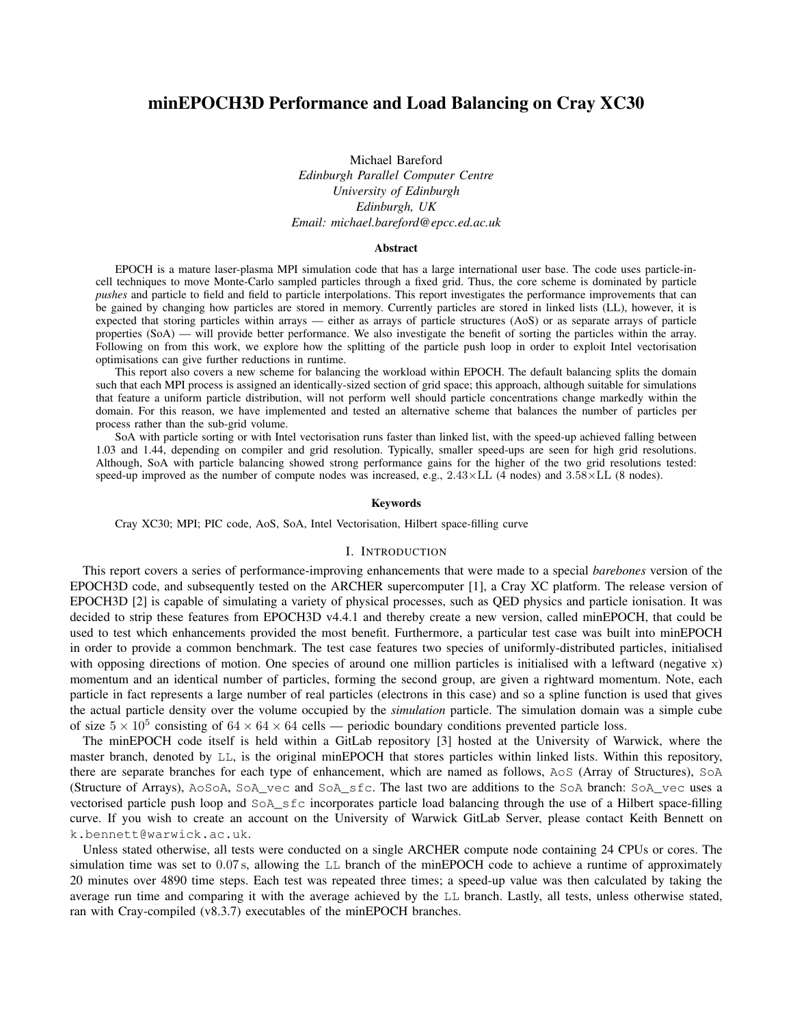# minEPOCH3D Performance and Load Balancing on Cray XC30

Michael Bareford *Edinburgh Parallel Computer Centre University of Edinburgh Edinburgh, UK Email: michael.bareford@epcc.ed.ac.uk*

#### Abstract

EPOCH is a mature laser-plasma MPI simulation code that has a large international user base. The code uses particle-incell techniques to move Monte-Carlo sampled particles through a fixed grid. Thus, the core scheme is dominated by particle *pushes* and particle to field and field to particle interpolations. This report investigates the performance improvements that can be gained by changing how particles are stored in memory. Currently particles are stored in linked lists (LL), however, it is expected that storing particles within arrays — either as arrays of particle structures (AoS) or as separate arrays of particle properties (SoA) — will provide better performance. We also investigate the benefit of sorting the particles within the array. Following on from this work, we explore how the splitting of the particle push loop in order to exploit Intel vectorisation optimisations can give further reductions in runtime.

This report also covers a new scheme for balancing the workload within EPOCH. The default balancing splits the domain such that each MPI process is assigned an identically-sized section of grid space; this approach, although suitable for simulations that feature a uniform particle distribution, will not perform well should particle concentrations change markedly within the domain. For this reason, we have implemented and tested an alternative scheme that balances the number of particles per process rather than the sub-grid volume.

SoA with particle sorting or with Intel vectorisation runs faster than linked list, with the speed-up achieved falling between 1.03 and 1.44, depending on compiler and grid resolution. Typically, smaller speed-ups are seen for high grid resolutions. Although, SoA with particle balancing showed strong performance gains for the higher of the two grid resolutions tested: speed-up improved as the number of compute nodes was increased, e.g.,  $2.43 \times$ LL (4 nodes) and  $3.58 \times$ LL (8 nodes).

### Keywords

Cray XC30; MPI; PIC code, AoS, SoA, Intel Vectorisation, Hilbert space-filling curve

## I. INTRODUCTION

This report covers a series of performance-improving enhancements that were made to a special *barebones* version of the EPOCH3D code, and subsequently tested on the ARCHER supercomputer [\[1\]](#page--1-0), a Cray XC platform. The release version of EPOCH3D [\[2\]](#page--1-1) is capable of simulating a variety of physical processes, such as QED physics and particle ionisation. It was decided to strip these features from EPOCH3D v4.4.1 and thereby create a new version, called minEPOCH, that could be used to test which enhancements provided the most benefit. Furthermore, a particular test case was built into minEPOCH in order to provide a common benchmark. The test case features two species of uniformly-distributed particles, initialised with opposing directions of motion. One species of around one million particles is initialised with a leftward (negative  $x$ ) momentum and an identical number of particles, forming the second group, are given a rightward momentum. Note, each particle in fact represents a large number of real particles (electrons in this case) and so a spline function is used that gives the actual particle density over the volume occupied by the *simulation* particle. The simulation domain was a simple cube of size  $5 \times 10^5$  consisting of  $64 \times 64 \times 64$  cells — periodic boundary conditions prevented particle loss.

The minEPOCH code itself is held within a GitLab repository [\[3\]](#page--1-2) hosted at the University of Warwick, where the master branch, denoted by LL, is the original minEPOCH that stores particles within linked lists. Within this repository, there are separate branches for each type of enhancement, which are named as follows, AoS (Array of Structures), SoA (Structure of Arrays), AoSoA, SoA\_vec and SoA\_sfc. The last two are additions to the SoA branch: SoA\_vec uses a vectorised particle push loop and SoA\_sfc incorporates particle load balancing through the use of a Hilbert space-filling curve. If you wish to create an account on the University of Warwick GitLab Server, please contact Keith Bennett on k.bennett@warwick.ac.uk.

Unless stated otherwise, all tests were conducted on a single ARCHER compute node containing 24 CPUs or cores. The simulation time was set to 0*.*07 s, allowing the LL branch of the minEPOCH code to achieve a runtime of approximately 20 minutes over 4890 time steps. Each test was repeated three times; a speed-up value was then calculated by taking the average run time and comparing it with the average achieved by the LL branch. Lastly, all tests, unless otherwise stated, ran with Cray-compiled (v8.3.7) executables of the minEPOCH branches.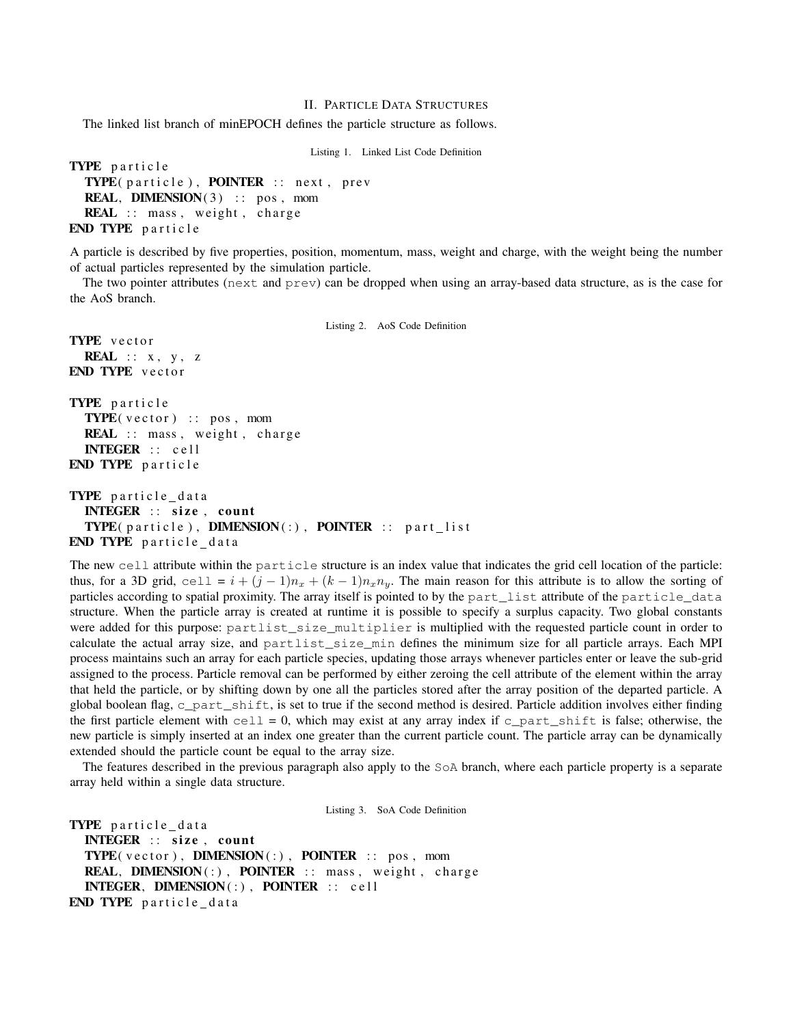## II. PARTICLE DATA STRUCTURES

The linked list branch of minEPOCH defines the particle structure as follows.

Listing 1. Linked List Code Definition

```
TYPE particle
 TYPE( particle ), POINTER :: next , prev
  REAL, DIMENSION(3) :: pos, mom
 REAL :: mass, weight, charge
END TYPE particle
```
A particle is described by five properties, position, momentum, mass, weight and charge, with the weight being the number of actual particles represented by the simulation particle.

The two pointer attributes (next and prev) can be dropped when using an array-based data structure, as is the case for the AoS branch.

```
Listing 2. AoS Code Definition
TYPE vector
 REAL :: x, y, zEND TYPE vector
TYPE particle

 REAL :: mass, weight, charge
 INTEGER :: cell
END TYPE particle
TYPE particle_data
 INTEGER :: size, count
 TYPE(particle), DIMENSION(:), POINTER :: part_list
```
END TYPE particle\_data

The new cell attribute within the particle structure is an index value that indicates the grid cell location of the particle: thus, for a 3D grid, cell =  $i + (j - 1)n_x + (k - 1)n_x n_y$ . The main reason for this attribute is to allow the sorting of particles according to spatial proximity. The array itself is pointed to by the part\_list attribute of the particle\_data structure. When the particle array is created at runtime it is possible to specify a surplus capacity. Two global constants were added for this purpose: partlist\_size\_multiplier is multiplied with the requested particle count in order to calculate the actual array size, and partlist\_size\_min defines the minimum size for all particle arrays. Each MPI process maintains such an array for each particle species, updating those arrays whenever particles enter or leave the sub-grid assigned to the process. Particle removal can be performed by either zeroing the cell attribute of the element within the array that held the particle, or by shifting down by one all the particles stored after the array position of the departed particle. A global boolean flag, c\_part\_shift, is set to true if the second method is desired. Particle addition involves either finding the first particle element with cell = 0, which may exist at any array index if c\_part\_shift is false; otherwise, the new particle is simply inserted at an index one greater than the current particle count. The particle array can be dynamically extended should the particle count be equal to the array size.

The features described in the previous paragraph also apply to the SoA branch, where each particle property is a separate array held within a single data structure.

Listing 3. SoA Code Definition

```
TYPE particle_data
  INTEGER :: size, count
  TYPE(\text{vector}), DIMENSION(:), POINTER :: pos, mom
  REAL, DIMENSION(:), POINTER :: mass, weight, charge
  INTEGER, DIMENSION (:) , POINTER :: cell
END TYPE particle_data
```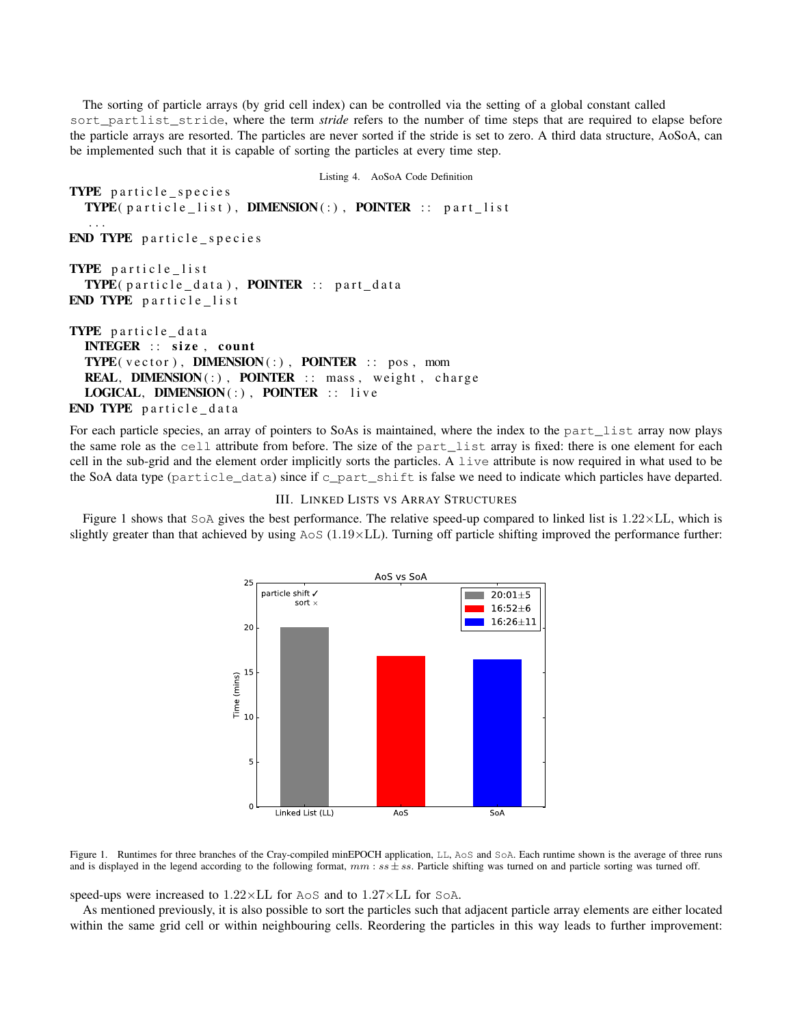The sorting of particle arrays (by grid cell index) can be controlled via the setting of a global constant called sort\_partlist\_stride, where the term *stride* refers to the number of time steps that are required to elapse before the particle arrays are resorted. The particles are never sorted if the stride is set to zero. A third data structure, AoSoA, can be implemented such that it is capable of sorting the particles at every time step.

```
Listing 4. AoSoA Code Definition
TYPE particle_species
  \textbf{TYPE}(\texttt{particle\_list}), \textbf{DIMENSION}(:), \textbf{PONTER}:: \texttt{part\_list}...
END TYPE particle species
TYPE particle list

END TYPE particle list
TYPE particle data
  INTEGER :: size, count
  \textbf{TYPE}(\text{vector}), \textbf{DIMENSION}(:), \textbf{POINTER}:: \text{pos}, \text{mom}REAL, DIMENSION(:), PONTER :: mass, weight, charge
  LOGICAL, DIMENSION(:), POINTER :: live
END TYPE particle_data
```
For each particle species, an array of pointers to SoAs is maintained, where the index to the part list array now plays the same role as the cell attribute from before. The size of the part\_list array is fixed: there is one element for each cell in the sub-grid and the element order implicitly sorts the particles. A live attribute is now required in what used to be the SoA data type (particle\_data) since if c\_part\_shift is false we need to indicate which particles have departed.

III. LINKED LISTS VS ARRAY STRUCTURES

Figure [1](#page-2-0) shows that  $S \circ A$  gives the best performance. The relative speed-up compared to linked list is  $1.22 \times L$ L, which is slightly greater than that achieved by using  $A \circ S$  ( $1.19 \times LL$ ). Turning off particle shifting improved the performance further:



<span id="page-2-0"></span>Figure 1. Runtimes for three branches of the Cray-compiled minEPOCH application, LL, AoS and SoA. Each runtime shown is the average of three runs and is displayed in the legend according to the following format,  $mm:$   $ss \pm ss$ . Particle shifting was turned on and particle sorting was turned off.

speed-ups were increased to  $1.22 \times LL$  for AoS and to  $1.27 \times LL$  for SoA.

As mentioned previously, it is also possible to sort the particles such that adjacent particle array elements are either located within the same grid cell or within neighbouring cells. Reordering the particles in this way leads to further improvement: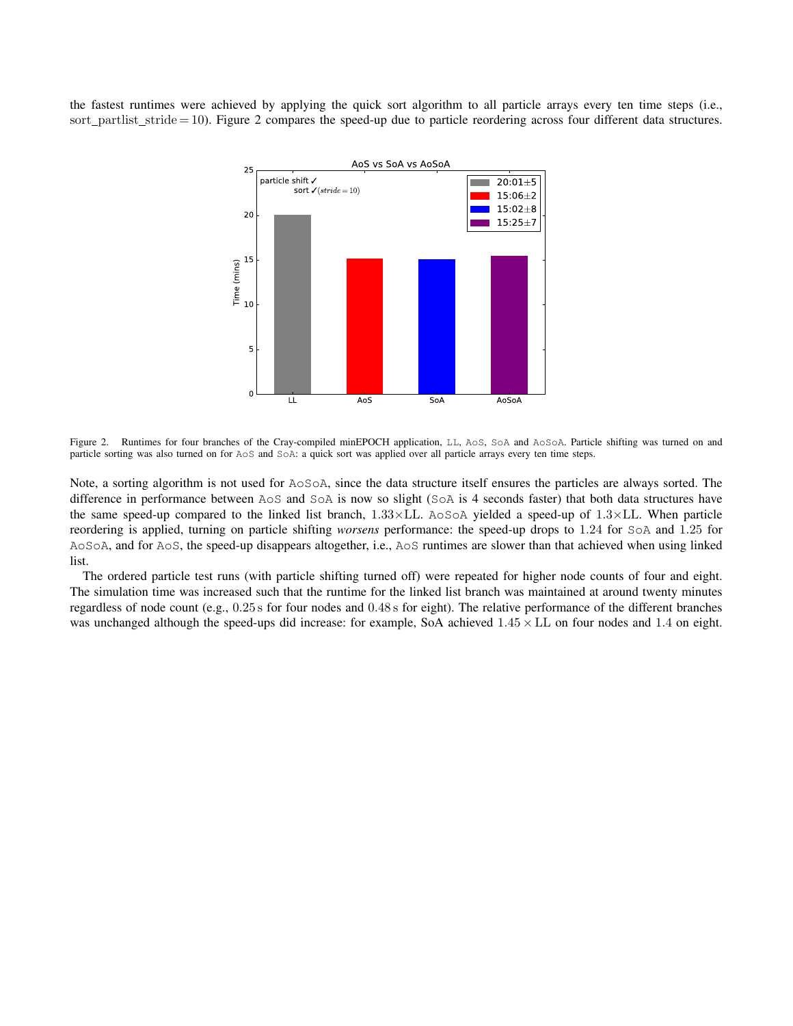the fastest runtimes were achieved by applying the quick sort algorithm to all particle arrays every ten time steps (i.e., sort\_partlist\_stride = 10). Figure [2](#page-3-0) compares the speed-up due to particle reordering across four different data structures.



<span id="page-3-0"></span>Figure 2. Runtimes for four branches of the Cray-compiled minEPOCH application, LL, AoS, SoA and AoSoA. Particle shifting was turned on and particle sorting was also turned on for AoS and SoA: a quick sort was applied over all particle arrays every ten time steps.

Note, a sorting algorithm is not used for AoSoA, since the data structure itself ensures the particles are always sorted. The difference in performance between AoS and SoA is now so slight (SoA is 4 seconds faster) that both data structures have the same speed-up compared to the linked list branch,  $1.33 \times LL$ . AoSoA yielded a speed-up of  $1.3 \times LL$ . When particle reordering is applied, turning on particle shifting *worsens* performance: the speed-up drops to 1*.*24 for SoA and 1*.*25 for AoSoA, and for AoS, the speed-up disappears altogether, i.e., AoS runtimes are slower than that achieved when using linked list.

The ordered particle test runs (with particle shifting turned off) were repeated for higher node counts of four and eight. The simulation time was increased such that the runtime for the linked list branch was maintained at around twenty minutes regardless of node count (e.g., 0*.*25 s for four nodes and 0*.*48 s for eight). The relative performance of the different branches was unchanged although the speed-ups did increase: for example, SoA achieved  $1.45 \times$  LL on four nodes and 1.4 on eight.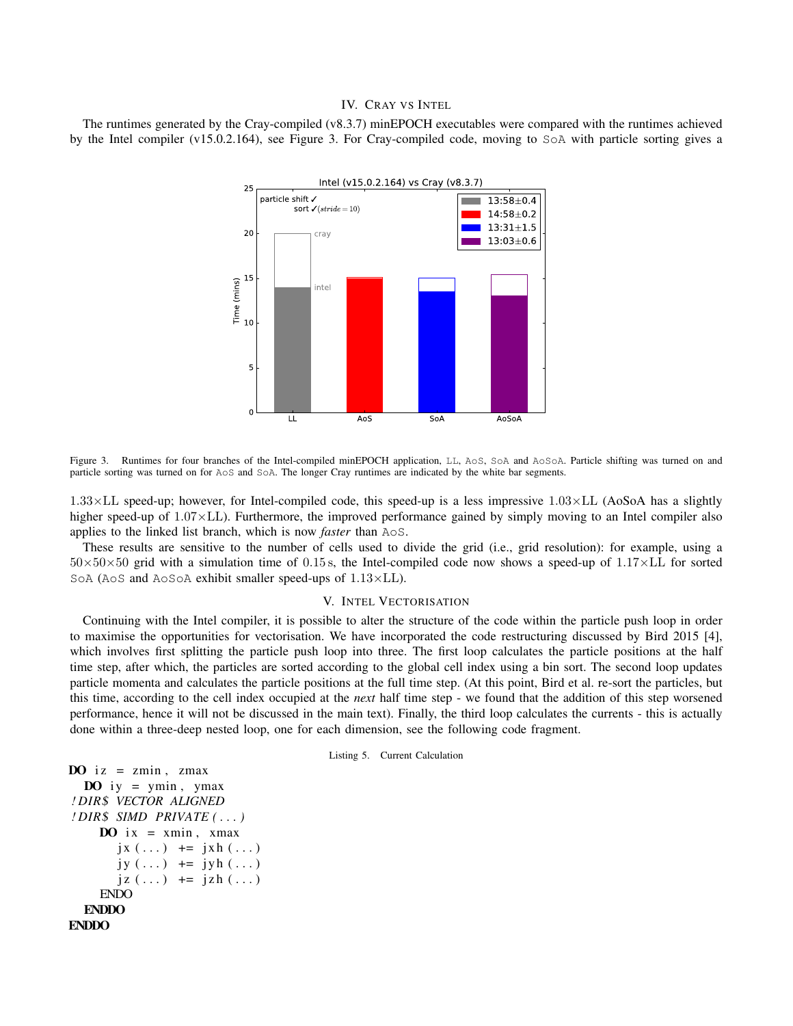## IV. CRAY VS INTEL

The runtimes generated by the Cray-compiled (v8.3.7) minEPOCH executables were compared with the runtimes achieved by the Intel compiler (v15.0.2.164), see Figure [3.](#page-4-0) For Cray-compiled code, moving to SoA with particle sorting gives a



<span id="page-4-0"></span>Figure 3. Runtimes for four branches of the Intel-compiled minEPOCH application, LL, AoS, SoA and AoSoA. Particle shifting was turned on and particle sorting was turned on for AoS and SoA. The longer Cray runtimes are indicated by the white bar segments.

1.33×LL speed-up; however, for Intel-compiled code, this speed-up is a less impressive 1.03×LL (AoSoA has a slightly higher speed-up of 1.07×LL). Furthermore, the improved performance gained by simply moving to an Intel compiler also applies to the linked list branch, which is now *faster* than AoS.

These results are sensitive to the number of cells used to divide the grid (i.e., grid resolution): for example, using a  $50\times50\times50$  grid with a simulation time of 0.15 s, the Intel-compiled code now shows a speed-up of 1.17 $\times$ LL for sorted SoA (AoS and AoSoA exhibit smaller speed-ups of 1.13×LL).

### V. INTEL VECTORISATION

Continuing with the Intel compiler, it is possible to alter the structure of the code within the particle push loop in order to maximise the opportunities for vectorisation. We have incorporated the code restructuring discussed by Bird 2015 [\[4\]](#page--1-3), which involves first splitting the particle push loop into three. The first loop calculates the particle positions at the half time step, after which, the particles are sorted according to the global cell index using a bin sort. The second loop updates particle momenta and calculates the particle positions at the full time step. (At this point, Bird et al. re-sort the particles, but this time, according to the cell index occupied at the *next* half time step - we found that the addition of this step worsened performance, hence it will not be discussed in the main text). Finally, the third loop calculates the currents - this is actually done within a three-deep nested loop, one for each dimension, see the following code fragment.

Listing 5. Current Calculation

```
DO iz = zmin, zmax
  \bf{DO} iy = ymin, ymax
! DIR$ VECTOR ALIGNED
! DIR$ SIMD PRIVATE ( . . . )
    DO ix = xmin, xmax
        j x (\ldots) += j x h (\ldots)jy (\ldots) += jyh(\ldots)j z (\ldots) + = j z h (\ldots)ENDO
  ENDDO
ENDDO
```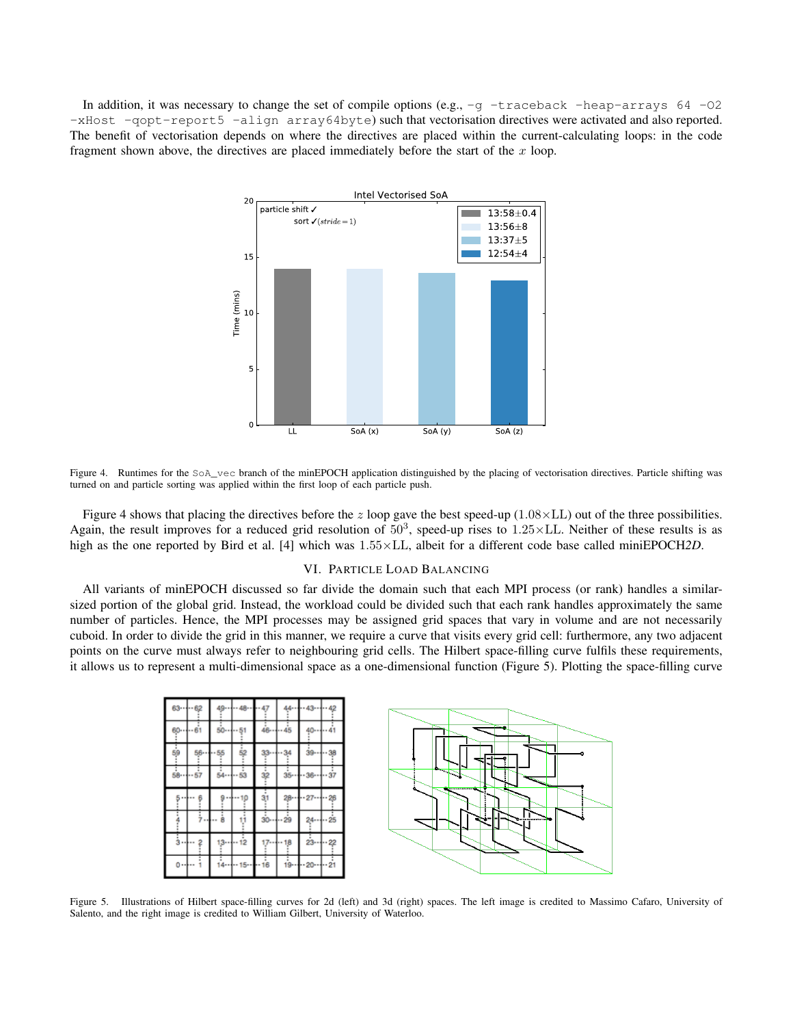In addition, it was necessary to change the set of compile options (e.g.,  $-q$  -traceback -heap-arrays 64 -O2 -xHost -qopt-report5 -align array64byte) such that vectorisation directives were activated and also reported. The benefit of vectorisation depends on where the directives are placed within the current-calculating loops: in the code fragment shown above, the directives are placed immediately before the start of the *x* loop.



<span id="page-5-0"></span>Figure 4. Runtimes for the SoA vec branch of the minEPOCH application distinguished by the placing of vectorisation directives. Particle shifting was turned on and particle sorting was applied within the first loop of each particle push.

Figure [4](#page-5-0) shows that placing the directives before the  $z$  loop gave the best speed-up ( $1.08 \times$ LL) out of the three possibilities. Again, the result improves for a reduced grid resolution of  $50<sup>3</sup>$ , speed-up rises to  $1.25 \times$ LL. Neither of these results is as high as the one reported by Bird et al. [\[4\]](#page--1-3) which was  $1.55 \times$ LL, albeit for a different code base called miniEPOCH2D.

## VI. PARTICLE LOAD BALANCING

All variants of minEPOCH discussed so far divide the domain such that each MPI process (or rank) handles a similarsized portion of the global grid. Instead, the workload could be divided such that each rank handles approximately the same number of particles. Hence, the MPI processes may be assigned grid spaces that vary in volume and are not necessarily cuboid. In order to divide the grid in this manner, we require a curve that visits every grid cell: furthermore, any two adjacent points on the curve must always refer to neighbouring grid cells. The Hilbert space-filling curve fulfils these requirements, it allows us to represent a multi-dimensional space as a one-dimensional function (Figure [5\)](#page-5-1). Plotting the space-filling curve



<span id="page-5-1"></span>Figure 5. Illustrations of Hilbert space-filling curves for 2d (left) and 3d (right) spaces. The left image is credited to Massimo Cafaro, University of Salento, and the right image is credited to William Gilbert, University of Waterloo.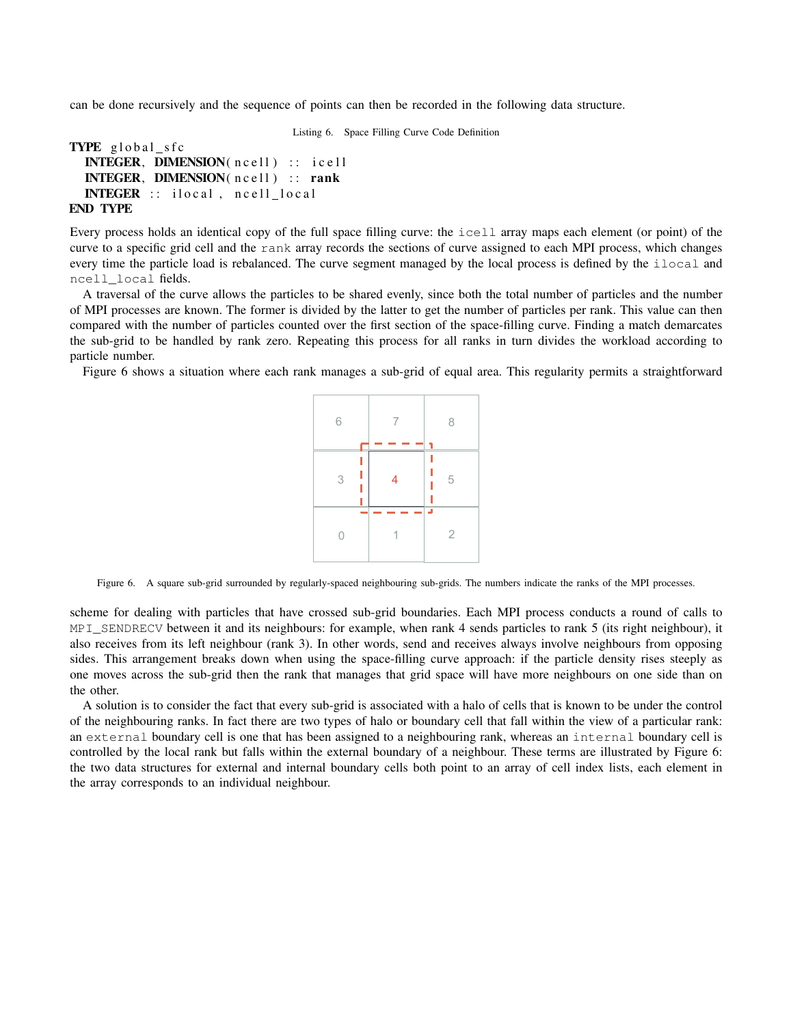can be done recursively and the sequence of points can then be recorded in the following data structure.

Listing 6. Space Filling Curve Code Definition

```
TYPE global_sfc
  INTEGER, DIMENSION( ncell ) :: icell
  INTEGER, DIMENSION( ncell ) :: rank
  INTEGER :: ilocal , ncell local
END TYPE
```
## Every process holds an identical copy of the full space filling curve: the icell array maps each element (or point) of the curve to a specific grid cell and the rank array records the sections of curve assigned to each MPI process, which changes every time the particle load is rebalanced. The curve segment managed by the local process is defined by the ilocal and ncell\_local fields.

A traversal of the curve allows the particles to be shared evenly, since both the total number of particles and the number of MPI processes are known. The former is divided by the latter to get the number of particles per rank. This value can then compared with the number of particles counted over the first section of the space-filling curve. Finding a match demarcates the sub-grid to be handled by rank zero. Repeating this process for all ranks in turn divides the workload according to particle number.

Figure [6](#page-6-0) shows a situation where each rank manages a sub-grid of equal area. This regularity permits a straightforward



<span id="page-6-0"></span>Figure 6. A square sub-grid surrounded by regularly-spaced neighbouring sub-grids. The numbers indicate the ranks of the MPI processes.

scheme for dealing with particles that have crossed sub-grid boundaries. Each MPI process conducts a round of calls to MPI\_SENDRECV between it and its neighbours: for example, when rank 4 sends particles to rank 5 (its right neighbour), it also receives from its left neighbour (rank 3). In other words, send and receives always involve neighbours from opposing sides. This arrangement breaks down when using the space-filling curve approach: if the particle density rises steeply as one moves across the sub-grid then the rank that manages that grid space will have more neighbours on one side than on the other.

A solution is to consider the fact that every sub-grid is associated with a halo of cells that is known to be under the control of the neighbouring ranks. In fact there are two types of halo or boundary cell that fall within the view of a particular rank: an external boundary cell is one that has been assigned to a neighbouring rank, whereas an internal boundary cell is controlled by the local rank but falls within the external boundary of a neighbour. These terms are illustrated by Figure [6:](#page-6-0) the two data structures for external and internal boundary cells both point to an array of cell index lists, each element in the array corresponds to an individual neighbour.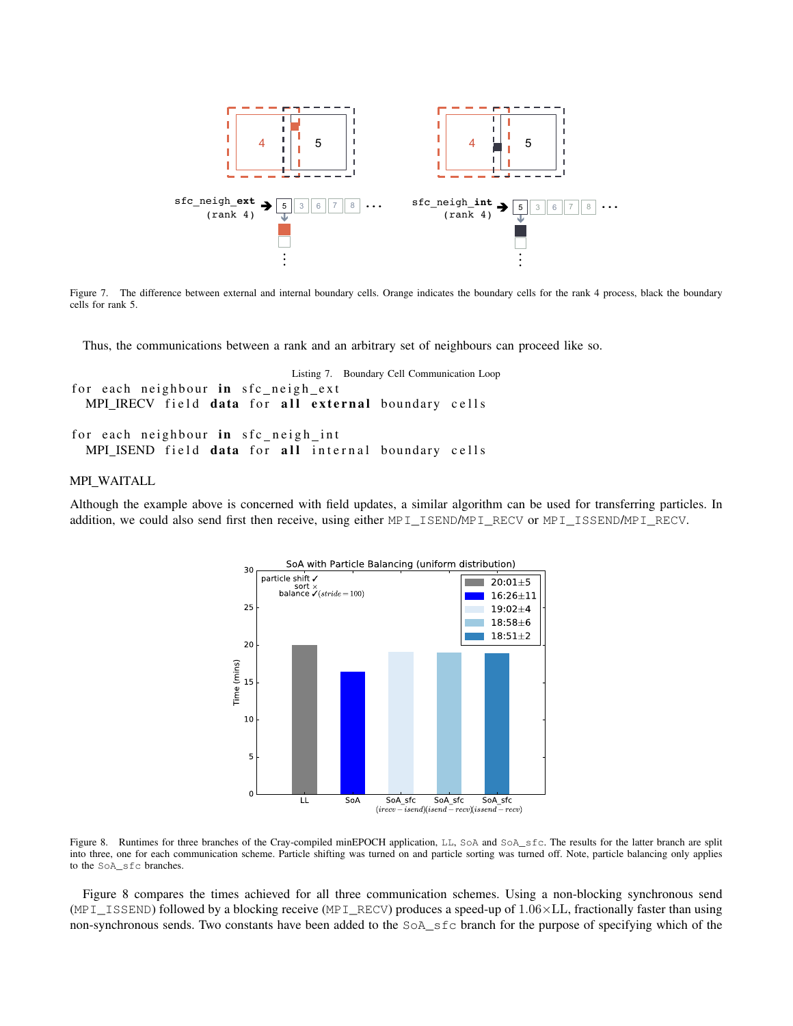

Figure 7. The difference between external and internal boundary cells. Orange indicates the boundary cells for the rank 4 process, black the boundary cells for rank 5.

Thus, the communications between a rank and an arbitrary set of neighbours can proceed like so.

```
Listing 7. Boundary Cell Communication Loop
for each neighbour in sfc_neigh_ext
 MPI_IRECV field data for all external boundary cells
for each neighbour in sfc_neigh_int
 MPI ISEND field data for all internal boundary cells
```
## MPI WAITALL

Although the example above is concerned with field updates, a similar algorithm can be used for transferring particles. In addition, we could also send first then receive, using either MPI\_ISEND/MPI\_RECV or MPI\_ISSEND/MPI\_RECV.



<span id="page-7-0"></span>Figure 8. Runtimes for three branches of the Cray-compiled minEPOCH application, LL, SoA and SoA\_sfc. The results for the latter branch are split into three, one for each communication scheme. Particle shifting was turned on and particle sorting was turned off. Note, particle balancing only applies to the SoA\_sfc branches.

Figure [8](#page-7-0) compares the times achieved for all three communication schemes. Using a non-blocking synchronous send (MPI\_ISSEND) followed by a blocking receive (MPI\_RECV) produces a speed-up of  $1.06 \times$ LL, fractionally faster than using non-synchronous sends. Two constants have been added to the SoA\_sfc branch for the purpose of specifying which of the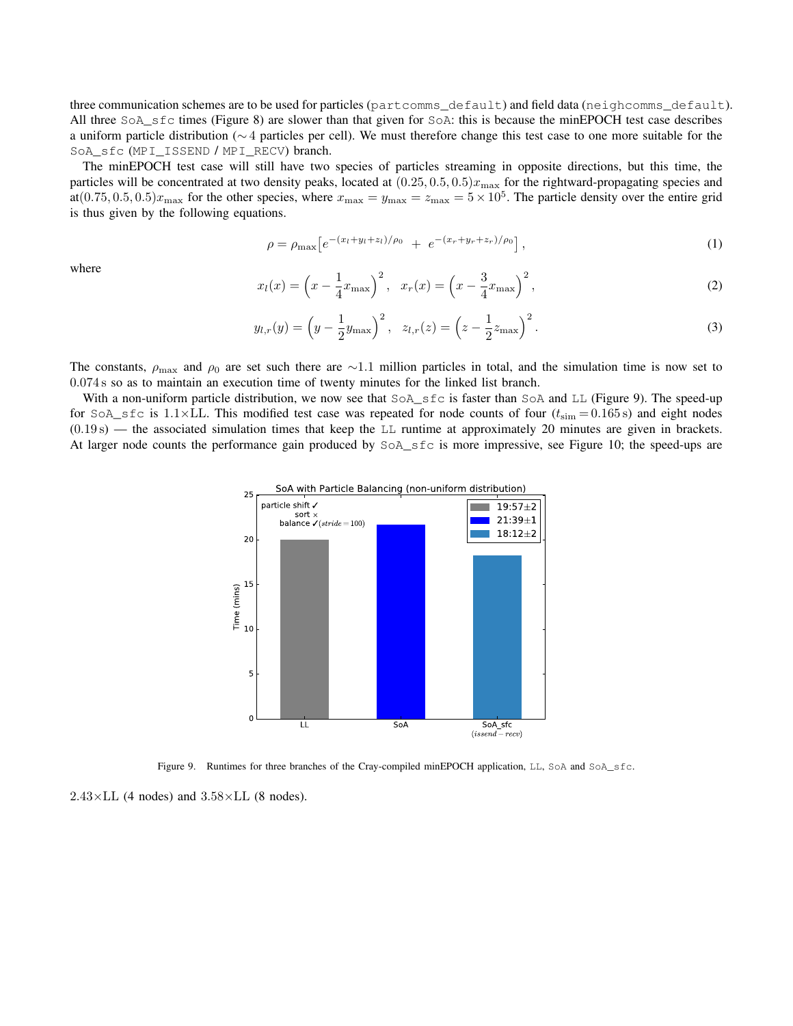three communication schemes are to be used for particles (partcomms\_default) and field data (neighcomms\_default). All three SoA\_sfc times (Figure [8\)](#page--1-4) are slower than that given for SoA: this is because the minEPOCH test case describes a uniform particle distribution ( $~4$  particles per cell). We must therefore change this test case to one more suitable for the SoA\_sfc (MPI\_ISSEND / MPI\_RECV) branch.

The minEPOCH test case will still have two species of particles streaming in opposite directions, but this time, the particles will be concentrated at two density peaks, located at  $(0.25, 0.5, 0.5)x_{\text{max}}$  for the rightward-propagating species and at $(0.75, 0.5, 0.5)x_{\text{max}}$  for the other species, where  $x_{\text{max}} = y_{\text{max}} = z_{\text{max}} = 5 \times 10^5$ . The particle density over the entire grid is thus given by the following equations.

$$
\rho = \rho_{\max} \left[ e^{-(x_l + y_l + z_l)/\rho_0} + e^{-(x_r + y_r + z_r)/\rho_0} \right], \tag{1}
$$

where

$$
x_l(x) = \left(x - \frac{1}{4}x_{\text{max}}\right)^2, \quad x_r(x) = \left(x - \frac{3}{4}x_{\text{max}}\right)^2,\tag{2}
$$

$$
y_{l,r}(y) = \left(y - \frac{1}{2}y_{\text{max}}\right)^2, \quad z_{l,r}(z) = \left(z - \frac{1}{2}z_{\text{max}}\right)^2.
$$
 (3)

The constants,  $\rho_{\text{max}}$  and  $\rho_0$  are set such there are  $\sim$ 1.1 million particles in total, and the simulation time is now set to 0*.*074 s so as to maintain an execution time of twenty minutes for the linked list branch.

With a non-uniform particle distribution, we now see that  $S \circ A$  sfc is faster than SoA and LL (Figure [9\)](#page-8-0). The speed-up for SoA\_sfc is 1.1×LL. This modified test case was repeated for node counts of four  $(t_{\text{sim}} = 0.165 \text{ s})$  and eight nodes (0*.*19 s) — the associated simulation times that keep the LL runtime at approximately 20 minutes are given in brackets. At larger node counts the performance gain produced by SoA\_sfc is more impressive, see Figure [10;](#page--1-5) the speed-ups are



<span id="page-8-0"></span>Figure 9. Runtimes for three branches of the Cray-compiled minEPOCH application, LL, SoA and SoA\_sfc.

 $2.43\times$ LL (4 nodes) and  $3.58\times$ LL (8 nodes).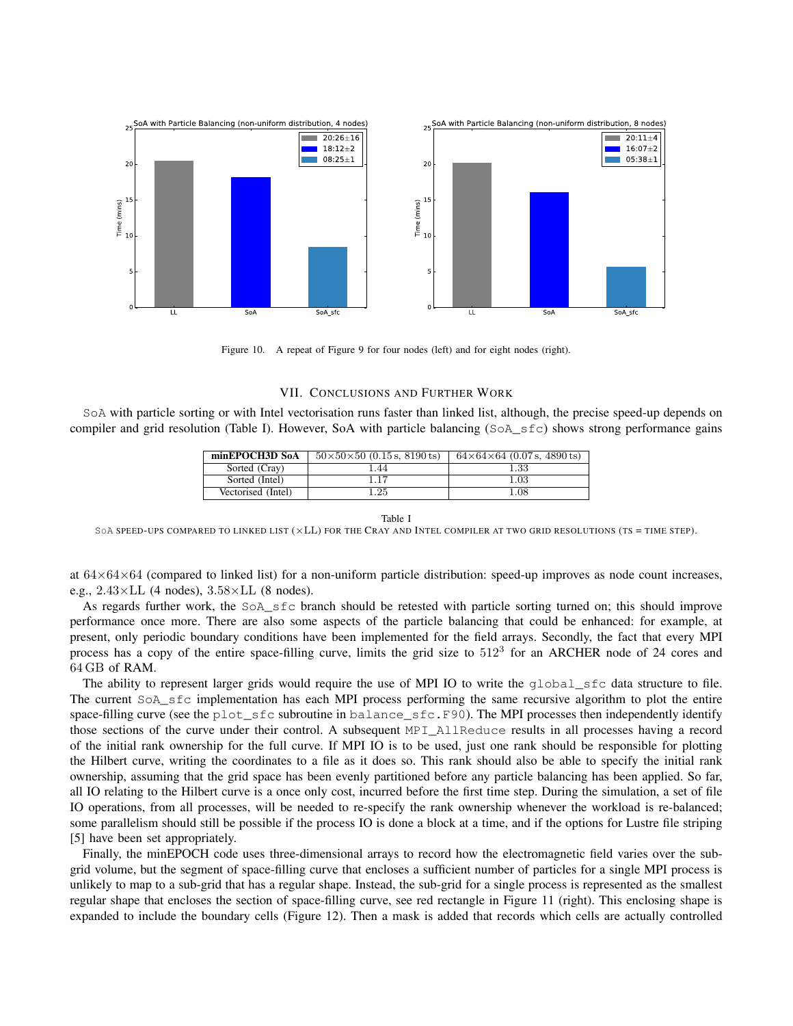

Figure 10. A repeat of Figure [9](#page--1-6) for four nodes (left) and for eight nodes (right).

## VII. CONCLUSIONS AND FURTHER WORK

SoA with particle sorting or with Intel vectorisation runs faster than linked list, although, the precise speed-up depends on compiler and grid resolution (Table [I\)](#page-9-0). However, SoA with particle balancing (SoA\_sfc) shows strong performance gains

| minEPOCH3D SoA     | $50\times50\times50$ (0.15 s, 8190 ts) | $64\times64\times64$ (0.07 s, 4890 ts) |
|--------------------|----------------------------------------|----------------------------------------|
| Sorted (Cray)      | 1.44                                   | $1.33\,$                               |
| Sorted (Intel)     | 1.17                                   | $1.03\,$                               |
| Vectorised (Intel) | 1.25                                   | 1.08                                   |

#### Table I

<span id="page-9-0"></span>SOA SPEED-UPS COMPARED TO LINKED LIST  $(xLL)$  for the CRAY AND INTEL COMPILER AT TWO GRID RESOLUTIONS (TS = TIME STEP).

at  $64\times64\times64$  (compared to linked list) for a non-uniform particle distribution: speed-up improves as node count increases, e.g., 2*.*43⇥LL (4 nodes), 3*.*58⇥LL (8 nodes).

As regards further work, the SoA\_sfc branch should be retested with particle sorting turned on; this should improve performance once more. There are also some aspects of the particle balancing that could be enhanced: for example, at present, only periodic boundary conditions have been implemented for the field arrays. Secondly, the fact that every MPI process has a copy of the entire space-filling curve, limits the grid size to  $512<sup>3</sup>$  for an ARCHER node of 24 cores and 64 GB of RAM.

The ability to represent larger grids would require the use of MPI IO to write the global sfc data structure to file. The current SoA\_sfc implementation has each MPI process performing the same recursive algorithm to plot the entire space-filling curve (see the plot\_sfc subroutine in balance\_sfc.F90). The MPI processes then independently identify those sections of the curve under their control. A subsequent MPI\_AllReduce results in all processes having a record of the initial rank ownership for the full curve. If MPI IO is to be used, just one rank should be responsible for plotting the Hilbert curve, writing the coordinates to a file as it does so. This rank should also be able to specify the initial rank ownership, assuming that the grid space has been evenly partitioned before any particle balancing has been applied. So far, all IO relating to the Hilbert curve is a once only cost, incurred before the first time step. During the simulation, a set of file IO operations, from all processes, will be needed to re-specify the rank ownership whenever the workload is re-balanced; some parallelism should still be possible if the process IO is done a block at a time, and if the options for Lustre file striping [\[5\]](#page--1-7) have been set appropriately.

Finally, the minEPOCH code uses three-dimensional arrays to record how the electromagnetic field varies over the subgrid volume, but the segment of space-filling curve that encloses a sufficient number of particles for a single MPI process is unlikely to map to a sub-grid that has a regular shape. Instead, the sub-grid for a single process is represented as the smallest regular shape that encloses the section of space-filling curve, see red rectangle in Figure [11](#page--1-8) (right). This enclosing shape is expanded to include the boundary cells (Figure [12\)](#page--1-9). Then a mask is added that records which cells are actually controlled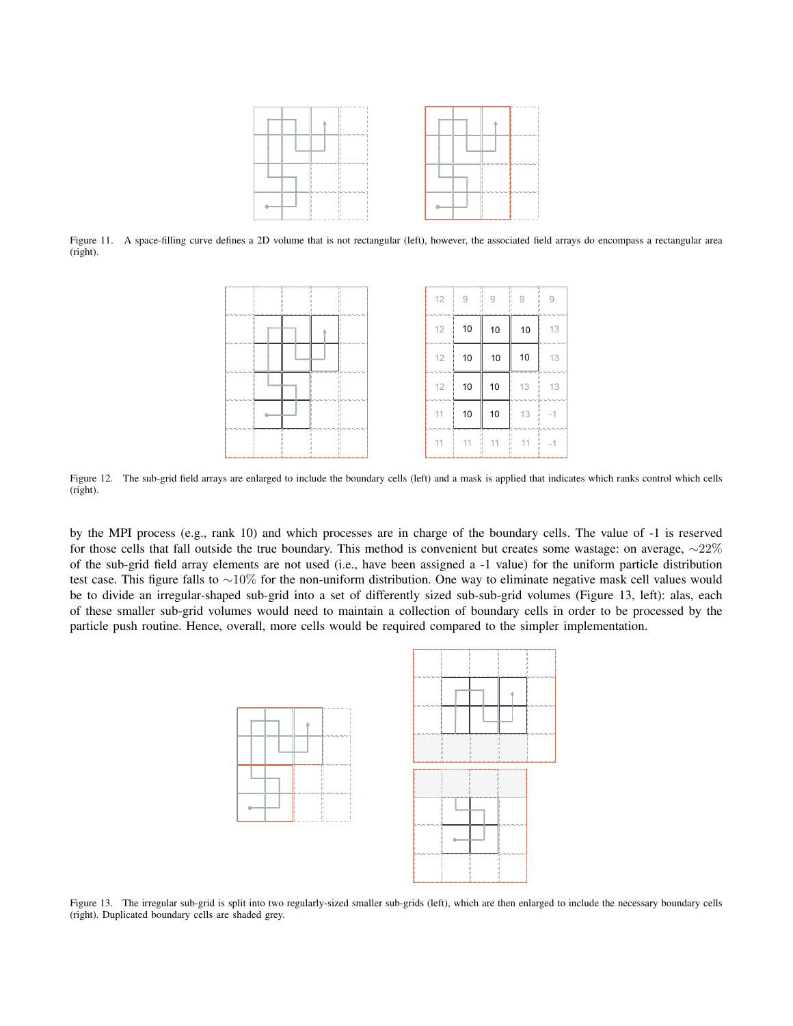

Figure 11. A space-filling curve defines a 2D volume that is not rectangular (left), however, the associated field arrays do encompass a rectangular area (right).

| 12     | 9  | $9 - 9$ | 9  | 9  |
|--------|----|---------|----|----|
| 12     | 10 | 10      | 10 | 13 |
| 12     | 10 | 10      | 10 | 13 |
| 12     | 10 | 10      | 13 | 13 |
| $11 -$ | 10 | 10      | 13 |    |
| $11 -$ | 11 | 11      | 11 |    |

Figure 12. The sub-grid field arrays are enlarged to include the boundary cells (left) and a mask is applied that indicates which ranks control which cells (right).

by the MPI process (e.g., rank 10) and which processes are in charge of the boundary cells. The value of -1 is reserved for those cells that fall outside the true boundary. This method is convenient but creates some wastage: on average,  $\sim 22\%$ of the sub-grid field array elements are not used (i.e., have been assigned a -1 value) for the uniform particle distribution test case. This figure falls to  $\sim$ 10% for the non-uniform distribution. One way to eliminate negative mask cell values would be to divide an irregular-shaped sub-grid into a set of differently sized sub-sub-grid volumes (Figure [13,](#page-10-0) left): alas, each of these smaller sub-grid volumes would need to maintain a collection of boundary cells in order to be processed by the particle push routine. Hence, overall, more cells would be required compared to the simpler implementation.



<span id="page-10-0"></span>Figure 13. The irregular sub-grid is split into two regularly-sized smaller sub-grids (left), which are then enlarged to include the necessary boundary cells (right). Duplicated boundary cells are shaded grey.